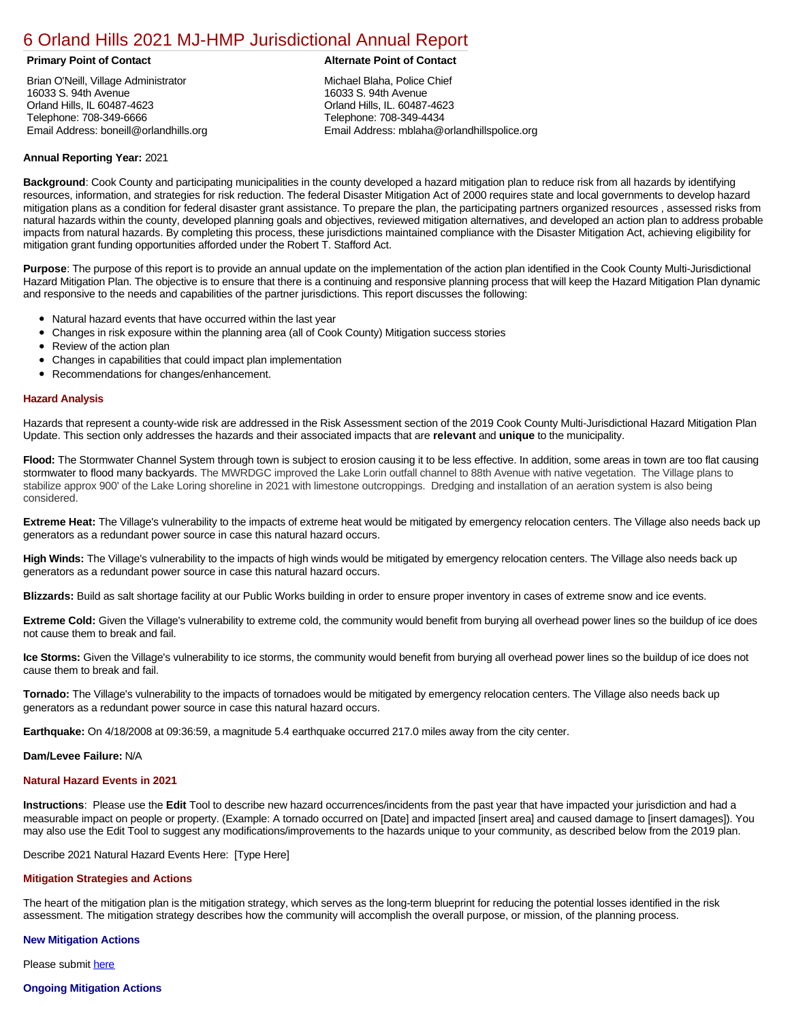# [6 Orland Hills 2021 MJ-HMP Jurisdictional Annual Report](https://orlandhills.isc-cemp.com/Cemp/Details?id=8322859)

Brian O'Neill, Village Administrator 16033 S. 94th Avenue Orland Hills, IL 60487-4623 Telephone: 708-349-6666 Email Address: boneill@orlandhills.org

# **Primary Point of Contact Alternate Point of Contact**

Michael Blaha, Police Chief 16033 S. 94th Avenue Orland Hills, IL. 60487-4623 Telephone: 708-349-4434 Email Address: mblaha@orlandhillspolice.org

# **Annual Reporting Year:** 2021

**Background**: Cook County and participating municipalities in the county developed a hazard mitigation plan to reduce risk from all hazards by identifying resources, information, and strategies for risk reduction. The federal Disaster Mitigation Act of 2000 requires state and local governments to develop hazard mitigation plans as a condition for federal disaster grant assistance. To prepare the plan, the participating partners organized resources , assessed risks from natural hazards within the county, developed planning goals and objectives, reviewed mitigation alternatives, and developed an action plan to address probable impacts from natural hazards. By completing this process, these jurisdictions maintained compliance with the Disaster Mitigation Act, achieving eligibility for mitigation grant funding opportunities afforded under the Robert T. Stafford Act.

**Purpose**: The purpose of this report is to provide an annual update on the implementation of the action plan identified in the Cook County Multi-Jurisdictional Hazard Mitigation Plan. The objective is to ensure that there is a continuing and responsive planning process that will keep the Hazard Mitigation Plan dynamic and responsive to the needs and capabilities of the partner jurisdictions. This report discusses the following:

- Natural hazard events that have occurred within the last year
- $\bullet$ Changes in risk exposure within the planning area (all of Cook County) Mitigation success stories
- Review of the action plan  $\bullet$
- $\bullet$ Changes in capabilities that could impact plan implementation
- Recommendations for changes/enhancement.  $\bullet$

### **Hazard Analysis**

Hazards that represent a county-wide risk are addressed in the Risk Assessment section of the 2019 Cook County Multi-Jurisdictional Hazard Mitigation Plan Update. This section only addresses the hazards and their associated impacts that are **relevant** and **unique** to the municipality.

Flood: The Stormwater Channel System through town is subject to erosion causing it to be less effective. In addition, some areas in town are too flat causing stormwater to flood many backyards. The MWRDGC improved the Lake Lorin outfall channel to 88th Avenue with native vegetation. The Village plans to stabilize approx 900' of the Lake Loring shoreline in 2021 with limestone outcroppings. Dredging and installation of an aeration system is also being considered.

**Extreme Heat:** The Village's vulnerability to the impacts of extreme heat would be mitigated by emergency relocation centers. The Village also needs back up generators as a redundant power source in case this natural hazard occurs.

**High Winds:** The Village's vulnerability to the impacts of high winds would be mitigated by emergency relocation centers. The Village also needs back up generators as a redundant power source in case this natural hazard occurs.

**Blizzards:** Build as salt shortage facility at our Public Works building in order to ensure proper inventory in cases of extreme snow and ice events.

**Extreme Cold:** Given the Village's vulnerability to extreme cold, the community would benefit from burying all overhead power lines so the buildup of ice does not cause them to break and fail.

**Ice Storms:** Given the Village's vulnerability to ice storms, the community would benefit from burying all overhead power lines so the buildup of ice does not cause them to break and fail.

**Tornado:** The Village's vulnerability to the impacts of tornadoes would be mitigated by emergency relocation centers. The Village also needs back up generators as a redundant power source in case this natural hazard occurs.

**Earthquake:** On 4/18/2008 at 09:36:59, a magnitude 5.4 earthquake occurred 217.0 miles away from the city center.

**Dam/Levee Failure:** N/A

#### **Natural Hazard Events in 2021**

**Instructions**: Please use the **Edit** Tool to describe new hazard occurrences/incidents from the past year that have impacted your jurisdiction and had a measurable impact on people or property. (Example: A tornado occurred on [Date] and impacted [insert area] and caused damage to [insert damages]). You may also use the Edit Tool to suggest any modifications/improvements to the hazards unique to your community, as described below from the 2019 plan.

# Describe 2021 Natural Hazard Events Here: [Type Here]

# **Mitigation Strategies and Actions**

The heart of the mitigation plan is the mitigation strategy, which serves as the long-term blueprint for reducing the potential losses identified in the risk assessment. The mitigation strategy describes how the community will accomplish the overall purpose, or mission, of the planning process.

#### **New Mitigation Actions**

Please submit [here](https://integratedsolutions.wufoo.com/forms/mg21jvf0jn639o/)

# **Ongoing Mitigation Actions**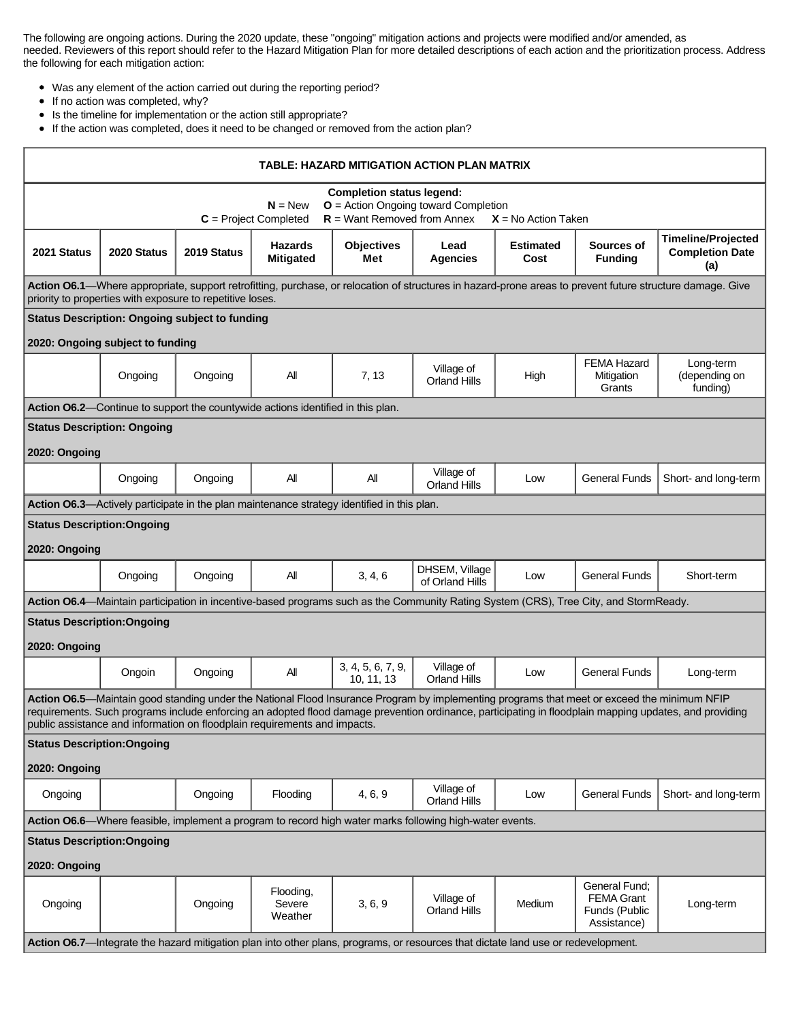The following are ongoing actions. During the 2020 update, these "ongoing" mitigation actions and projects were modified and/or amended, as needed. Reviewers of this report should refer to the Hazard Mitigation Plan for more detailed descriptions of each action and the prioritization process. Address the following for each mitigation action:

- Was any element of the action carried out during the reporting period?
- $\bullet$ If no action was completed, why?
- Is the timeline for implementation or the action still appropriate?  $\bullet$
- If the action was completed, does it need to be changed or removed from the action plan?

| TABLE: HAZARD MITIGATION ACTION PLAN MATRIX                                                                                                                                                                                                                                                                                                                                        |                                  |                                                       |                                    |                                                                                                    |                                                                                                                                      |                          |                                                                    |                                                            |  |
|------------------------------------------------------------------------------------------------------------------------------------------------------------------------------------------------------------------------------------------------------------------------------------------------------------------------------------------------------------------------------------|----------------------------------|-------------------------------------------------------|------------------------------------|----------------------------------------------------------------------------------------------------|--------------------------------------------------------------------------------------------------------------------------------------|--------------------------|--------------------------------------------------------------------|------------------------------------------------------------|--|
| <b>Completion status legend:</b><br>$O =$ Action Ongoing toward Completion<br>$N = New$<br>$R =$ Want Removed from Annex<br>$C = Project Completed$<br>$X = No$ Action Taken                                                                                                                                                                                                       |                                  |                                                       |                                    |                                                                                                    |                                                                                                                                      |                          |                                                                    |                                                            |  |
| 2021 Status                                                                                                                                                                                                                                                                                                                                                                        | 2020 Status                      | 2019 Status                                           | <b>Hazards</b><br><b>Mitigated</b> | <b>Objectives</b><br>Met                                                                           | Lead<br>Agencies                                                                                                                     | <b>Estimated</b><br>Cost | Sources of<br><b>Funding</b>                                       | <b>Timeline/Projected</b><br><b>Completion Date</b><br>(a) |  |
| Action O6.1—Where appropriate, support retrofitting, purchase, or relocation of structures in hazard-prone areas to prevent future structure damage. Give<br>priority to properties with exposure to repetitive loses.                                                                                                                                                             |                                  |                                                       |                                    |                                                                                                    |                                                                                                                                      |                          |                                                                    |                                                            |  |
|                                                                                                                                                                                                                                                                                                                                                                                    |                                  | <b>Status Description: Ongoing subject to funding</b> |                                    |                                                                                                    |                                                                                                                                      |                          |                                                                    |                                                            |  |
|                                                                                                                                                                                                                                                                                                                                                                                    | 2020: Ongoing subject to funding |                                                       |                                    |                                                                                                    |                                                                                                                                      |                          |                                                                    |                                                            |  |
|                                                                                                                                                                                                                                                                                                                                                                                    | Ongoing                          | Ongoing                                               | Αll                                | 7, 13                                                                                              | Village of<br><b>Orland Hills</b>                                                                                                    | High                     | <b>FEMA Hazard</b><br>Mitigation<br>Grants                         | Long-term<br>(depending on<br>funding)                     |  |
| Action O6.2—Continue to support the countywide actions identified in this plan.                                                                                                                                                                                                                                                                                                    |                                  |                                                       |                                    |                                                                                                    |                                                                                                                                      |                          |                                                                    |                                                            |  |
| <b>Status Description: Ongoing</b>                                                                                                                                                                                                                                                                                                                                                 |                                  |                                                       |                                    |                                                                                                    |                                                                                                                                      |                          |                                                                    |                                                            |  |
| 2020: Ongoing                                                                                                                                                                                                                                                                                                                                                                      |                                  |                                                       |                                    |                                                                                                    |                                                                                                                                      |                          |                                                                    |                                                            |  |
|                                                                                                                                                                                                                                                                                                                                                                                    | Ongoing                          | Ongoing                                               | All                                | All                                                                                                | Village of<br><b>Orland Hills</b>                                                                                                    | Low                      | <b>General Funds</b>                                               | Short- and long-term                                       |  |
|                                                                                                                                                                                                                                                                                                                                                                                    |                                  |                                                       |                                    | <b>Action O6.3</b> —Actively participate in the plan maintenance strategy identified in this plan. |                                                                                                                                      |                          |                                                                    |                                                            |  |
| <b>Status Description: Ongoing</b>                                                                                                                                                                                                                                                                                                                                                 |                                  |                                                       |                                    |                                                                                                    |                                                                                                                                      |                          |                                                                    |                                                            |  |
| 2020: Ongoing                                                                                                                                                                                                                                                                                                                                                                      |                                  |                                                       |                                    |                                                                                                    |                                                                                                                                      |                          |                                                                    |                                                            |  |
|                                                                                                                                                                                                                                                                                                                                                                                    | Ongoing                          | Ongoing                                               | All                                | 3, 4, 6                                                                                            | DHSEM, Village<br>of Orland Hills                                                                                                    | Low                      | <b>General Funds</b>                                               | Short-term                                                 |  |
|                                                                                                                                                                                                                                                                                                                                                                                    |                                  |                                                       |                                    |                                                                                                    | Action O6.4—Maintain participation in incentive-based programs such as the Community Rating System (CRS), Tree City, and StormReady. |                          |                                                                    |                                                            |  |
| <b>Status Description: Ongoing</b>                                                                                                                                                                                                                                                                                                                                                 |                                  |                                                       |                                    |                                                                                                    |                                                                                                                                      |                          |                                                                    |                                                            |  |
| 2020: Ongoing                                                                                                                                                                                                                                                                                                                                                                      |                                  |                                                       |                                    |                                                                                                    |                                                                                                                                      |                          |                                                                    |                                                            |  |
|                                                                                                                                                                                                                                                                                                                                                                                    | Ongoin                           | Ongoing                                               | All                                | 3, 4, 5, 6, 7, 9,<br>10, 11, 13                                                                    | Village of<br><b>Orland Hills</b>                                                                                                    | Low                      | <b>General Funds</b>                                               | Long-term                                                  |  |
| Action O6.5—Maintain good standing under the National Flood Insurance Program by implementing programs that meet or exceed the minimum NFIP<br>requirements. Such programs include enforcing an adopted flood damage prevention ordinance, participating in floodplain mapping updates, and providing<br>public assistance and information on floodplain requirements and impacts. |                                  |                                                       |                                    |                                                                                                    |                                                                                                                                      |                          |                                                                    |                                                            |  |
| <b>Status Description: Ongoing</b>                                                                                                                                                                                                                                                                                                                                                 |                                  |                                                       |                                    |                                                                                                    |                                                                                                                                      |                          |                                                                    |                                                            |  |
| 2020: Ongoing                                                                                                                                                                                                                                                                                                                                                                      |                                  |                                                       |                                    |                                                                                                    |                                                                                                                                      |                          |                                                                    |                                                            |  |
| Ongoing                                                                                                                                                                                                                                                                                                                                                                            |                                  | Ongoing                                               | Flooding                           | 4, 6, 9                                                                                            | Village of<br><b>Orland Hills</b>                                                                                                    | Low                      | <b>General Funds</b>                                               | Short- and long-term                                       |  |
| Action O6.6—Where feasible, implement a program to record high water marks following high-water events.                                                                                                                                                                                                                                                                            |                                  |                                                       |                                    |                                                                                                    |                                                                                                                                      |                          |                                                                    |                                                            |  |
| <b>Status Description: Ongoing</b>                                                                                                                                                                                                                                                                                                                                                 |                                  |                                                       |                                    |                                                                                                    |                                                                                                                                      |                          |                                                                    |                                                            |  |
| 2020: Ongoing                                                                                                                                                                                                                                                                                                                                                                      |                                  |                                                       |                                    |                                                                                                    |                                                                                                                                      |                          |                                                                    |                                                            |  |
| Ongoing                                                                                                                                                                                                                                                                                                                                                                            |                                  | Ongoing                                               | Flooding,<br>Severe<br>Weather     | 3, 6, 9                                                                                            | Village of<br><b>Orland Hills</b>                                                                                                    | Medium                   | General Fund:<br><b>FEMA Grant</b><br>Funds (Public<br>Assistance) | Long-term                                                  |  |
|                                                                                                                                                                                                                                                                                                                                                                                    |                                  |                                                       |                                    |                                                                                                    | Action O6.7-Integrate the hazard mitigation plan into other plans, programs, or resources that dictate land use or redevelopment.    |                          |                                                                    |                                                            |  |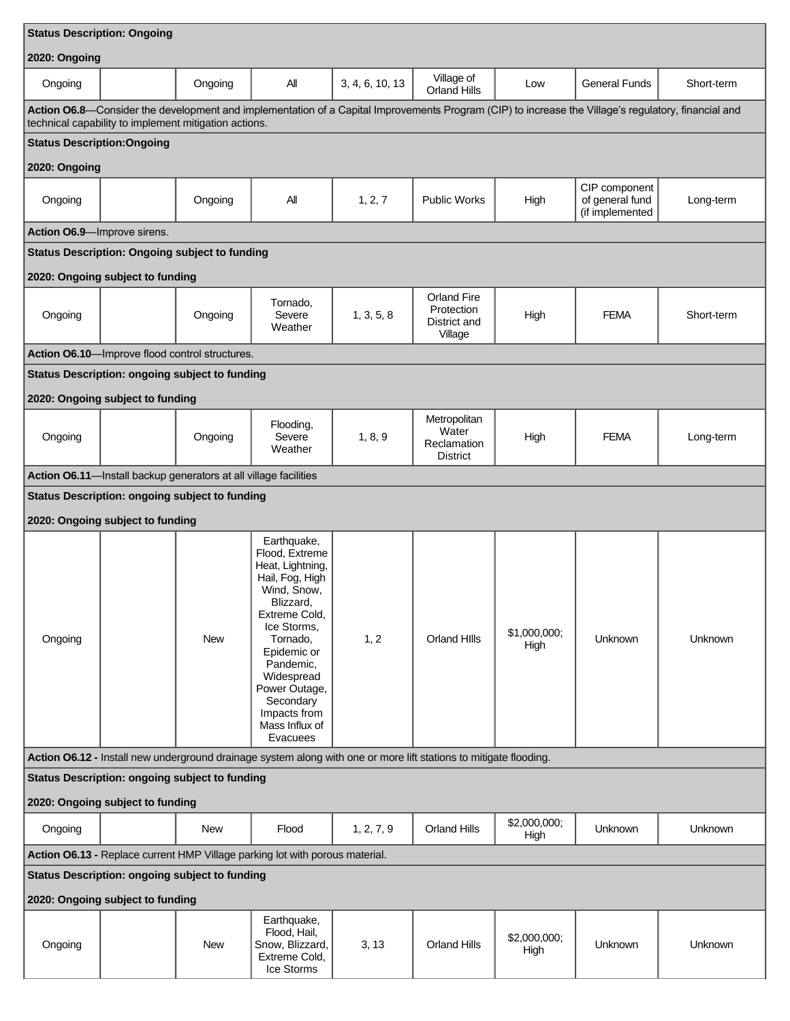| <b>Status Description: Ongoing</b>                                                                                                                                                                           |  |                                                                  |                                                                                                                                                                                                                                                                    |                 |                                                             |                      |                                                     |            |  |
|--------------------------------------------------------------------------------------------------------------------------------------------------------------------------------------------------------------|--|------------------------------------------------------------------|--------------------------------------------------------------------------------------------------------------------------------------------------------------------------------------------------------------------------------------------------------------------|-----------------|-------------------------------------------------------------|----------------------|-----------------------------------------------------|------------|--|
| 2020: Ongoing                                                                                                                                                                                                |  |                                                                  |                                                                                                                                                                                                                                                                    |                 |                                                             |                      |                                                     |            |  |
| Ongoing                                                                                                                                                                                                      |  | Ongoing                                                          | All                                                                                                                                                                                                                                                                | 3, 4, 6, 10, 13 | Village of<br><b>Orland Hills</b>                           | Low                  | <b>General Funds</b>                                | Short-term |  |
| Action O6.8—Consider the development and implementation of a Capital Improvements Program (CIP) to increase the Village's regulatory, financial and<br>technical capability to implement mitigation actions. |  |                                                                  |                                                                                                                                                                                                                                                                    |                 |                                                             |                      |                                                     |            |  |
| <b>Status Description: Ongoing</b>                                                                                                                                                                           |  |                                                                  |                                                                                                                                                                                                                                                                    |                 |                                                             |                      |                                                     |            |  |
| 2020: Ongoing                                                                                                                                                                                                |  |                                                                  |                                                                                                                                                                                                                                                                    |                 |                                                             |                      |                                                     |            |  |
| Ongoing                                                                                                                                                                                                      |  | Ongoing                                                          | All                                                                                                                                                                                                                                                                | 1, 2, 7         | <b>Public Works</b>                                         | High                 | CIP component<br>of general fund<br>(if implemented | Long-term  |  |
| Action O6.9-Improve sirens.                                                                                                                                                                                  |  |                                                                  |                                                                                                                                                                                                                                                                    |                 |                                                             |                      |                                                     |            |  |
|                                                                                                                                                                                                              |  | <b>Status Description: Ongoing subject to funding</b>            |                                                                                                                                                                                                                                                                    |                 |                                                             |                      |                                                     |            |  |
| 2020: Ongoing subject to funding                                                                                                                                                                             |  |                                                                  |                                                                                                                                                                                                                                                                    |                 |                                                             |                      |                                                     |            |  |
| Ongoing                                                                                                                                                                                                      |  | Ongoing                                                          | Tornado,<br>Severe<br>Weather                                                                                                                                                                                                                                      | 1, 3, 5, 8      | <b>Orland Fire</b><br>Protection<br>District and<br>Village | High                 | <b>FEMA</b>                                         | Short-term |  |
|                                                                                                                                                                                                              |  | Action O6.10-Improve flood control structures.                   |                                                                                                                                                                                                                                                                    |                 |                                                             |                      |                                                     |            |  |
|                                                                                                                                                                                                              |  | <b>Status Description: ongoing subject to funding</b>            |                                                                                                                                                                                                                                                                    |                 |                                                             |                      |                                                     |            |  |
| 2020: Ongoing subject to funding                                                                                                                                                                             |  |                                                                  |                                                                                                                                                                                                                                                                    |                 |                                                             |                      |                                                     |            |  |
| Ongoing                                                                                                                                                                                                      |  | Ongoing                                                          | Flooding,<br>Severe<br>Weather                                                                                                                                                                                                                                     | 1, 8, 9         | Metropolitan<br>Water<br>Reclamation<br><b>District</b>     | High                 | <b>FEMA</b>                                         | Long-term  |  |
|                                                                                                                                                                                                              |  | Action O6.11-Install backup generators at all village facilities |                                                                                                                                                                                                                                                                    |                 |                                                             |                      |                                                     |            |  |
|                                                                                                                                                                                                              |  | <b>Status Description: ongoing subject to funding</b>            |                                                                                                                                                                                                                                                                    |                 |                                                             |                      |                                                     |            |  |
| 2020: Ongoing subject to funding                                                                                                                                                                             |  |                                                                  |                                                                                                                                                                                                                                                                    |                 |                                                             |                      |                                                     |            |  |
| Ongoing                                                                                                                                                                                                      |  | <b>New</b>                                                       | Earthquake,<br>Flood, Extreme<br>Heat, Lightning,<br>Hail, Fog, High<br>Wind, Snow,<br>Blizzard,<br>Extreme Cold,<br>Ice Storms.<br>Tornado,<br>Epidemic or<br>Pandemic,<br>Widespread<br>Power Outage,<br>Secondary<br>Impacts from<br>Mass Influx of<br>Evacuees | 1, 2            | Orland Hills                                                | \$1,000,000;<br>High | <b>Unknown</b>                                      | Unknown    |  |
| Action 06.12 - Install new underground drainage system along with one or more lift stations to mitigate flooding.                                                                                            |  |                                                                  |                                                                                                                                                                                                                                                                    |                 |                                                             |                      |                                                     |            |  |
| <b>Status Description: ongoing subject to funding</b>                                                                                                                                                        |  |                                                                  |                                                                                                                                                                                                                                                                    |                 |                                                             |                      |                                                     |            |  |
| 2020: Ongoing subject to funding                                                                                                                                                                             |  |                                                                  |                                                                                                                                                                                                                                                                    |                 |                                                             |                      |                                                     |            |  |
| Ongoing                                                                                                                                                                                                      |  | New                                                              | Flood                                                                                                                                                                                                                                                              | 1, 2, 7, 9      | <b>Orland Hills</b>                                         | \$2,000,000;<br>High | Unknown                                             | Unknown    |  |
| Action O6.13 - Replace current HMP Village parking lot with porous material.<br><b>Status Description: ongoing subject to funding</b>                                                                        |  |                                                                  |                                                                                                                                                                                                                                                                    |                 |                                                             |                      |                                                     |            |  |
| 2020: Ongoing subject to funding                                                                                                                                                                             |  |                                                                  |                                                                                                                                                                                                                                                                    |                 |                                                             |                      |                                                     |            |  |
| Ongoing                                                                                                                                                                                                      |  | <b>New</b>                                                       | Earthquake,<br>Flood, Hail,<br>Snow, Blizzard,<br>Extreme Cold,<br>Ice Storms                                                                                                                                                                                      | 3, 13           | <b>Orland Hills</b>                                         | \$2,000,000;<br>High | Unknown                                             | Unknown    |  |